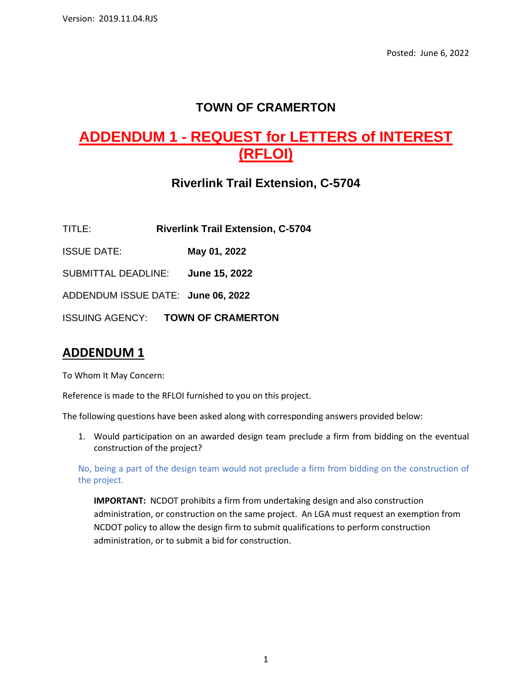## **TOWN OF CRAMERTON**

# **ADDENDUM 1 - REQUEST for LETTERS of INTEREST (RFLOI)**

# **Riverlink Trail Extension, C-5704**

TITLE: **Riverlink Trail Extension, C-5704**

ISSUE DATE: **May 01, 2022**

SUBMITTAL DEADLINE: **June 15, 2022**

ADDENDUM ISSUE DATE: **June 06, 2022**

ISSUING AGENCY: **TOWN OF CRAMERTON**

## **ADDENDUM 1**

To Whom It May Concern:

Reference is made to the RFLOI furnished to you on this project.

The following questions have been asked along with corresponding answers provided below:

1. Would participation on an awarded design team preclude a firm from bidding on the eventual construction of the project?

No, being a part of the design team would not preclude a firm from bidding on the construction of the project.

**IMPORTANT:** NCDOT prohibits a firm from undertaking design and also construction administration, or construction on the same project. An LGA must request an exemption from NCDOT policy to allow the design firm to submit qualifications to perform construction administration, or to submit a bid for construction.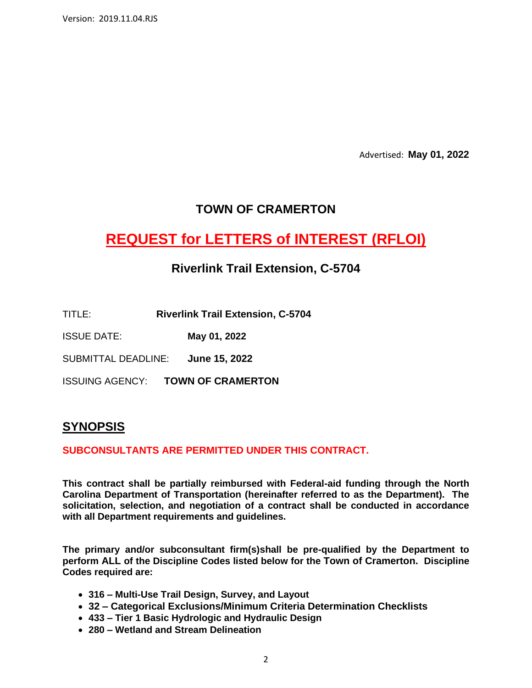Version: 2019.11.04.RJS

Advertised: **May 01, 2022**

### **TOWN OF CRAMERTON**

# **REQUEST for LETTERS of INTEREST (RFLOI)**

### **Riverlink Trail Extension, C-5704**

- TITLE: **Riverlink Trail Extension, C-5704**
- ISSUE DATE: **May 01, 2022**

SUBMITTAL DEADLINE: **June 15, 2022**

ISSUING AGENCY: **TOWN OF CRAMERTON**

### **SYNOPSIS**

#### **SUBCONSULTANTS ARE PERMITTED UNDER THIS CONTRACT.**

**This contract shall be partially reimbursed with Federal-aid funding through the North Carolina Department of Transportation (hereinafter referred to as the Department). The solicitation, selection, and negotiation of a contract shall be conducted in accordance with all Department requirements and guidelines.**

**The primary and/or subconsultant firm(s)shall be pre-qualified by the Department to perform ALL of the Discipline Codes listed below for the Town of Cramerton. Discipline Codes required are:**

- **316 – Multi-Use Trail Design, Survey, and Layout**
- **32 – Categorical Exclusions/Minimum Criteria Determination Checklists**
- **433 – Tier 1 Basic Hydrologic and Hydraulic Design**
- **280 – Wetland and Stream Delineation**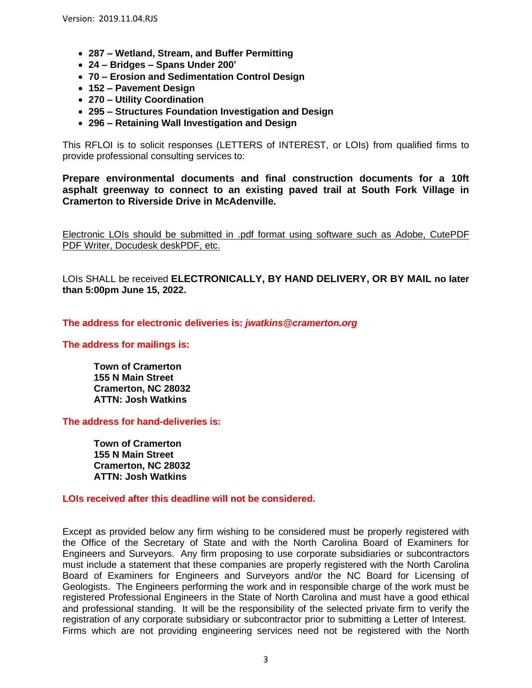- **287 – Wetland, Stream, and Buffer Permitting**
- **24 – Bridges – Spans Under 200'**
- **70 – Erosion and Sedimentation Control Design**
- **152 – Pavement Design**
- **270 – Utility Coordination**
- **295 – Structures Foundation Investigation and Design**
- **296 – Retaining Wall Investigation and Design**

This RFLOI is to solicit responses (LETTERS of INTEREST, or LOIs) from qualified firms to provide professional consulting services to:

**Prepare environmental documents and final construction documents for a 10ft asphalt greenway to connect to an existing paved trail at South Fork Village in Cramerton to Riverside Drive in McAdenville.**

Electronic LOIs should be submitted in .pdf format using software such as Adobe, CutePDF PDF Writer, Docudesk deskPDF, etc.

LOIs SHALL be received **ELECTRONICALLY, BY HAND DELIVERY, OR BY MAIL no later than 5:00pm June 15, 2022.**

**The address for electronic deliveries is:** *jwatkins@cramerton.org*

**The address for mailings is:**

**Town of Cramerton 155 N Main Street Cramerton, NC 28032 ATTN: Josh Watkins**

**The address for hand-deliveries is:** 

**Town of Cramerton 155 N Main Street Cramerton, NC 28032 ATTN: Josh Watkins**

**LOIs received after this deadline will not be considered.**

Except as provided below any firm wishing to be considered must be properly registered with the Office of the Secretary of State and with the North Carolina Board of Examiners for Engineers and Surveyors. Any firm proposing to use corporate subsidiaries or subcontractors must include a statement that these companies are properly registered with the North Carolina Board of Examiners for Engineers and Surveyors and/or the NC Board for Licensing of Geologists. The Engineers performing the work and in responsible charge of the work must be registered Professional Engineers in the State of North Carolina and must have a good ethical and professional standing. It will be the responsibility of the selected private firm to verify the registration of any corporate subsidiary or subcontractor prior to submitting a Letter of Interest. Firms which are not providing engineering services need not be registered with the North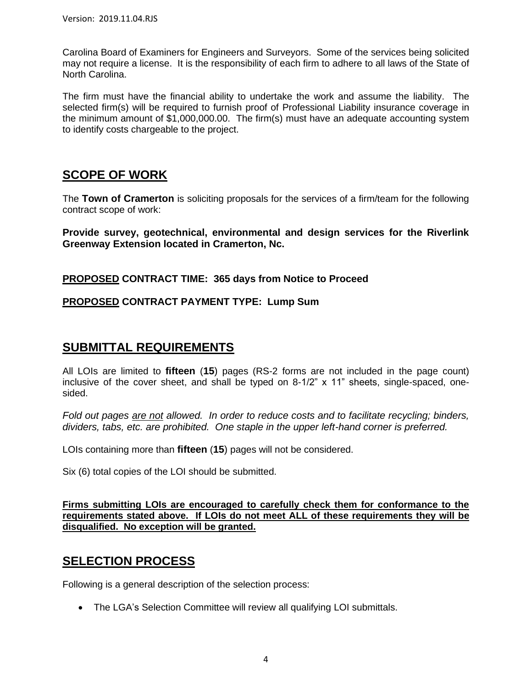Carolina Board of Examiners for Engineers and Surveyors. Some of the services being solicited may not require a license. It is the responsibility of each firm to adhere to all laws of the State of North Carolina.

The firm must have the financial ability to undertake the work and assume the liability. The selected firm(s) will be required to furnish proof of Professional Liability insurance coverage in the minimum amount of \$1,000,000.00. The firm(s) must have an adequate accounting system to identify costs chargeable to the project.

## **SCOPE OF WORK**

The **Town of Cramerton** is soliciting proposals for the services of a firm/team for the following contract scope of work:

**Provide survey, geotechnical, environmental and design services for the Riverlink Greenway Extension located in Cramerton, Nc.**

**PROPOSED CONTRACT TIME: 365 days from Notice to Proceed**

#### **PROPOSED CONTRACT PAYMENT TYPE: Lump Sum**

### **SUBMITTAL REQUIREMENTS**

All LOIs are limited to **fifteen** (**15**) pages (RS-2 forms are not included in the page count) inclusive of the cover sheet, and shall be typed on 8-1/2" x 11" sheets, single-spaced, onesided.

*Fold out pages are not allowed. In order to reduce costs and to facilitate recycling; binders, dividers, tabs, etc. are prohibited. One staple in the upper left-hand corner is preferred.*

LOIs containing more than **fifteen** (**15**) pages will not be considered.

Six (6) total copies of the LOI should be submitted.

**Firms submitting LOIs are encouraged to carefully check them for conformance to the requirements stated above. If LOIs do not meet ALL of these requirements they will be disqualified. No exception will be granted.**

## **SELECTION PROCESS**

Following is a general description of the selection process:

• The LGA's Selection Committee will review all qualifying LOI submittals.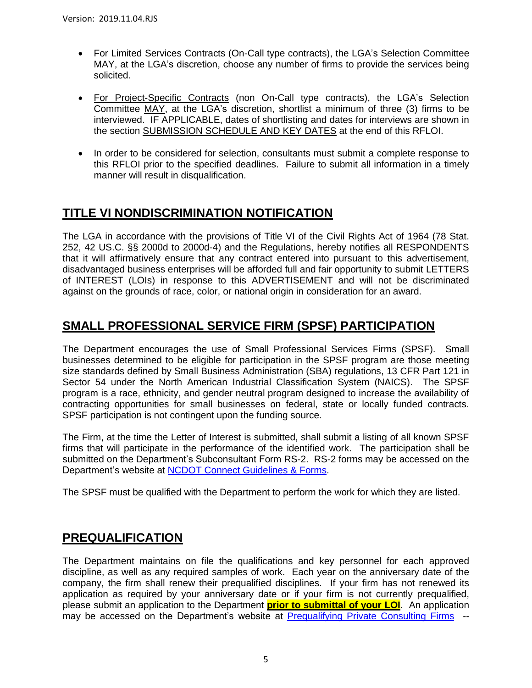- For Limited Services Contracts (On-Call type contracts), the LGA's Selection Committee MAY, at the LGA's discretion, choose any number of firms to provide the services being solicited.
- For Project-Specific Contracts (non On-Call type contracts), the LGA's Selection Committee MAY, at the LGA's discretion, shortlist a minimum of three (3) firms to be interviewed. IF APPLICABLE, dates of shortlisting and dates for interviews are shown in the section SUBMISSION SCHEDULE AND KEY DATES at the end of this RFLOI.
- In order to be considered for selection, consultants must submit a complete response to this RFLOI prior to the specified deadlines. Failure to submit all information in a timely manner will result in disqualification.

# **TITLE VI NONDISCRIMINATION NOTIFICATION**

The LGA in accordance with the provisions of Title VI of the Civil Rights Act of 1964 (78 Stat. 252, 42 US.C. §§ 2000d to 2000d-4) and the Regulations, hereby notifies all RESPONDENTS that it will affirmatively ensure that any contract entered into pursuant to this advertisement, disadvantaged business enterprises will be afforded full and fair opportunity to submit LETTERS of INTEREST (LOIs) in response to this ADVERTISEMENT and will not be discriminated against on the grounds of race, color, or national origin in consideration for an award.

# **SMALL PROFESSIONAL SERVICE FIRM (SPSF) PARTICIPATION**

The Department encourages the use of Small Professional Services Firms (SPSF). Small businesses determined to be eligible for participation in the SPSF program are those meeting size standards defined by Small Business Administration (SBA) regulations, 13 CFR Part 121 in Sector 54 under the North American Industrial Classification System (NAICS). The SPSF program is a race, ethnicity, and gender neutral program designed to increase the availability of contracting opportunities for small businesses on federal, state or locally funded contracts. SPSF participation is not contingent upon the funding source.

The Firm, at the time the Letter of Interest is submitted, shall submit a listing of all known SPSF firms that will participate in the performance of the identified work. The participation shall be submitted on the Department's Subconsultant Form RS-2. RS-2 forms may be accessed on the Department's website at [NCDOT Connect Guidelines & Forms.](https://connect.ncdot.gov/business/consultants/Pages/Guidelines-Forms.aspx)

The SPSF must be qualified with the Department to perform the work for which they are listed.

## **PREQUALIFICATION**

The Department maintains on file the qualifications and key personnel for each approved discipline, as well as any required samples of work. Each year on the anniversary date of the company, the firm shall renew their prequalified disciplines. If your firm has not renewed its application as required by your anniversary date or if your firm is not currently prequalified, please submit an application to the Department **prior to submittal of your LOI**. An application may be accessed on the Department's website at [Prequalifying Private Consulting Firms](https://connect.ncdot.gov/business/Prequal/Pages/Private-Consulting-Firm.aspx) --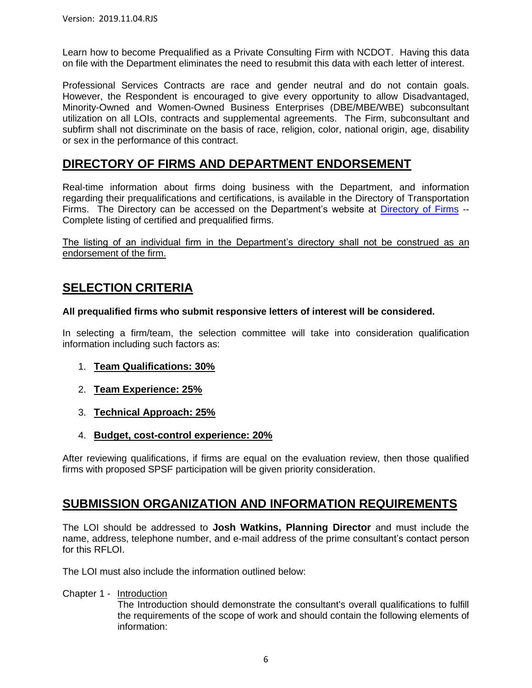Learn how to become Prequalified as a Private Consulting Firm with NCDOT. Having this data on file with the Department eliminates the need to resubmit this data with each letter of interest.

Professional Services Contracts are race and gender neutral and do not contain goals. However, the Respondent is encouraged to give every opportunity to allow Disadvantaged, Minority-Owned and Women-Owned Business Enterprises (DBE/MBE/WBE) subconsultant utilization on all LOIs, contracts and supplemental agreements. The Firm, subconsultant and subfirm shall not discriminate on the basis of race, religion, color, national origin, age, disability or sex in the performance of this contract.

### **DIRECTORY OF FIRMS AND DEPARTMENT ENDORSEMENT**

Real-time information about firms doing business with the Department, and information regarding their prequalifications and certifications, is available in the Directory of Transportation Firms. The Directory can be accessed on the Department's website at [Directory of Firms](https://www.ebs.nc.gov/VendorDirectory/default.html) -- Complete listing of certified and prequalified firms.

The listing of an individual firm in the Department's directory shall not be construed as an endorsement of the firm.

# **SELECTION CRITERIA**

#### **All prequalified firms who submit responsive letters of interest will be considered.**

In selecting a firm/team, the selection committee will take into consideration qualification information including such factors as:

- 1. **Team Qualifications: 30%**
- 2. **Team Experience: 25%**
- 3. **Technical Approach: 25%**
- 4. **Budget, cost-control experience: 20%**

After reviewing qualifications, if firms are equal on the evaluation review, then those qualified firms with proposed SPSF participation will be given priority consideration.

### **SUBMISSION ORGANIZATION AND INFORMATION REQUIREMENTS**

The LOI should be addressed to **Josh Watkins, Planning Director** and must include the name, address, telephone number, and e-mail address of the prime consultant's contact person for this RFLOI.

The LOI must also include the information outlined below:

Chapter 1 - Introduction

The Introduction should demonstrate the consultant's overall qualifications to fulfill the requirements of the scope of work and should contain the following elements of information: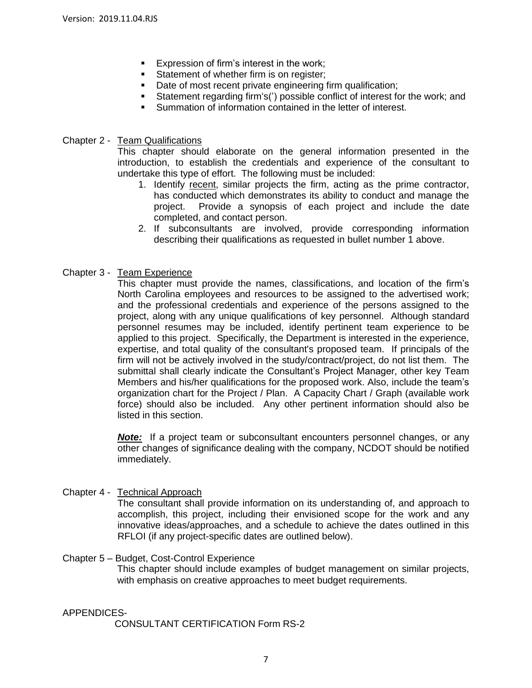- Expression of firm's interest in the work;
- Statement of whether firm is on register;
- Date of most recent private engineering firm qualification;
- Statement regarding firm's(') possible conflict of interest for the work; and
- Summation of information contained in the letter of interest.

#### Chapter 2 - Team Qualifications

This chapter should elaborate on the general information presented in the introduction, to establish the credentials and experience of the consultant to undertake this type of effort. The following must be included:

- 1. Identify recent, similar projects the firm, acting as the prime contractor, has conducted which demonstrates its ability to conduct and manage the project. Provide a synopsis of each project and include the date completed, and contact person.
- 2. If subconsultants are involved, provide corresponding information describing their qualifications as requested in bullet number 1 above.

#### Chapter 3 - Team Experience

This chapter must provide the names, classifications, and location of the firm's North Carolina employees and resources to be assigned to the advertised work; and the professional credentials and experience of the persons assigned to the project, along with any unique qualifications of key personnel. Although standard personnel resumes may be included, identify pertinent team experience to be applied to this project. Specifically, the Department is interested in the experience, expertise, and total quality of the consultant's proposed team. If principals of the firm will not be actively involved in the study/contract/project, do not list them. The submittal shall clearly indicate the Consultant's Project Manager, other key Team Members and his/her qualifications for the proposed work. Also, include the team's organization chart for the Project / Plan. A Capacity Chart / Graph (available work force) should also be included. Any other pertinent information should also be listed in this section.

*Note:* If a project team or subconsultant encounters personnel changes, or any other changes of significance dealing with the company, NCDOT should be notified immediately.

#### Chapter 4 - Technical Approach

The consultant shall provide information on its understanding of, and approach to accomplish, this project, including their envisioned scope for the work and any innovative ideas/approaches, and a schedule to achieve the dates outlined in this RFLOI (if any project-specific dates are outlined below).

#### Chapter 5 – Budget, Cost-Control Experience

This chapter should include examples of budget management on similar projects, with emphasis on creative approaches to meet budget requirements.

#### APPENDICES-

CONSULTANT CERTIFICATION Form RS-2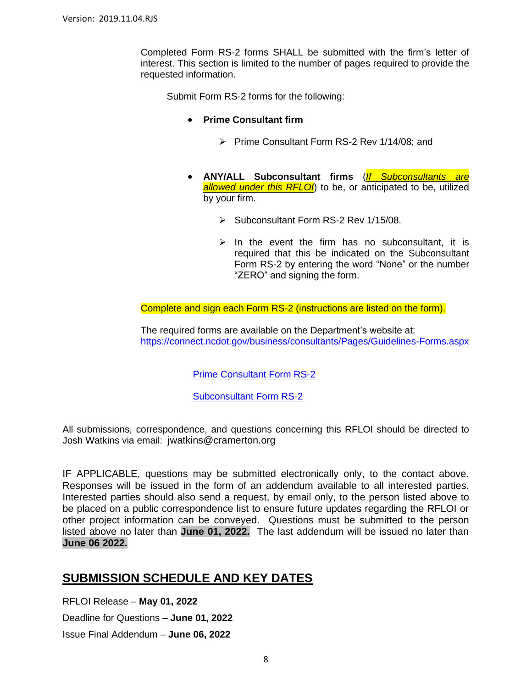Completed Form RS-2 forms SHALL be submitted with the firm's letter of interest. This section is limited to the number of pages required to provide the requested information.

Submit Form RS-2 forms for the following:

- **Prime Consultant firm**
	- ➢ Prime Consultant Form RS-2 Rev 1/14/08; and
- **ANY/ALL Subconsultant firms** (*If Subconsultants are allowed under this RFLOI*) to be, or anticipated to be, utilized by your firm.
	- ➢ Subconsultant Form RS-2 Rev 1/15/08.
	- $\triangleright$  In the event the firm has no subconsultant, it is required that this be indicated on the Subconsultant Form RS-2 by entering the word "None" or the number "ZERO" and signing the form.

Complete and sign each Form RS-2 (instructions are listed on the form).

The required forms are available on the Department's website at: <https://connect.ncdot.gov/business/consultants/Pages/Guidelines-Forms.aspx>

[Prime Consultant Form RS-2](https://connect.ncdot.gov/business/consultants/Roadway/Form%20RS-2%20Prime%20Contractor%20(Task%20Orders%20ONLY).pdf)

[Subconsultant Form RS-2](https://connect.ncdot.gov/business/consultants/Roadway/Form%20RS-2%20Subcontract%20(Task%20Orders%20ONLY).pdf)

All submissions, correspondence, and questions concerning this RFLOI should be directed to Josh Watkins via email: jwatkins@cramerton.org

IF APPLICABLE, questions may be submitted electronically only, to the contact above. Responses will be issued in the form of an addendum available to all interested parties. Interested parties should also send a request, by email only, to the person listed above to be placed on a public correspondence list to ensure future updates regarding the RFLOI or other project information can be conveyed. Questions must be submitted to the person listed above no later than **June 01, 2022.** The last addendum will be issued no later than **June 06 2022.**

#### **SUBMISSION SCHEDULE AND KEY DATES**

RFLOI Release – **May 01, 2022**

Deadline for Questions – **June 01, 2022**

Issue Final Addendum – **June 06, 2022**